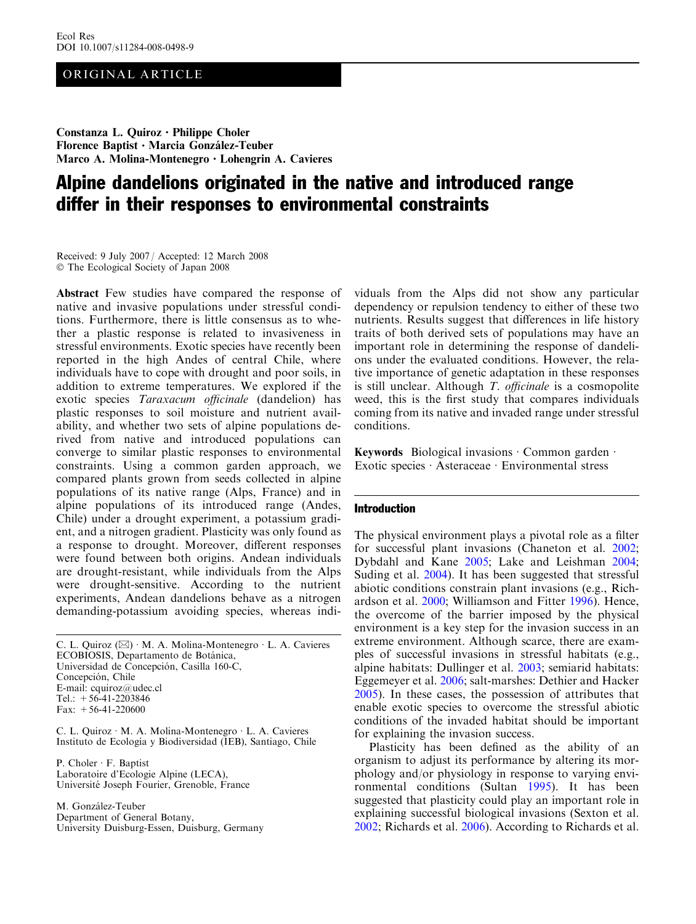## ORIGINAL ARTICLE

Constanza L. Quiroz · Philippe Choler Florence Baptist · Marcia González-Teuber Marco A. Molina-Montenegro · Lohengrin A. Cavieres

# Alpine dandelions originated in the native and introduced range differ in their responses to environmental constraints

Received: 9 July 2007 / Accepted: 12 March 2008 The Ecological Society of Japan 2008

Abstract Few studies have compared the response of native and invasive populations under stressful conditions. Furthermore, there is little consensus as to whether a plastic response is related to invasiveness in stressful environments. Exotic species have recently been reported in the high Andes of central Chile, where individuals have to cope with drought and poor soils, in addition to extreme temperatures. We explored if the exotic species Taraxacum officinale (dandelion) has plastic responses to soil moisture and nutrient availability, and whether two sets of alpine populations derived from native and introduced populations can converge to similar plastic responses to environmental constraints. Using a common garden approach, we compared plants grown from seeds collected in alpine populations of its native range (Alps, France) and in alpine populations of its introduced range (Andes, Chile) under a drought experiment, a potassium gradient, and a nitrogen gradient. Plasticity was only found as a response to drought. Moreover, different responses were found between both origins. Andean individuals are drought-resistant, while individuals from the Alps were drought-sensitive. According to the nutrient experiments, Andean dandelions behave as a nitrogen demanding-potassium avoiding species, whereas indi-

C. L. Quiroz  $(\boxtimes) \cdot M$ . A. Molina-Montenegro  $\cdot$  L. A. Cavieres ECOBIOSIS, Departamento de Botánica, Universidad de Concepción, Casilla 160-C, Concepción, Chile E-mail: cquiroz@udec.cl Tel.: +56-41-2203846 Fax:  $+56-41-220600$ 

C. L. Quiroz · M. A. Molina-Montenegro · L. A. Cavieres Instituto de Ecología y Biodiversidad (IEB), Santiago, Chile

P. Choler · F. Baptist Laboratoire d'Ecologie Alpine (LECA), Université Joseph Fourier, Grenoble, France

M. González-Teuber Department of General Botany, University Duisburg-Essen, Duisburg, Germany viduals from the Alps did not show any particular dependency or repulsion tendency to either of these two nutrients. Results suggest that differences in life history traits of both derived sets of populations may have an important role in determining the response of dandelions under the evaluated conditions. However, the relative importance of genetic adaptation in these responses is still unclear. Although T. officinale is a cosmopolite weed, this is the first study that compares individuals coming from its native and invaded range under stressful conditions.

Keywords Biological invasions  $\cdot$  Common garden  $\cdot$ Exotic species · Asteraceae · Environmental stress

# Introduction

The physical environment plays a pivotal role as a filter for successful plant invasions (Chaneton et al. [2002](#page-7-0); Dybdahl and Kane [2005](#page-7-0); Lake and Leishman [2004](#page-7-0); Suding et al. [2004](#page-8-0)). It has been suggested that stressful abiotic conditions constrain plant invasions (e.g., Richardson et al. [2000](#page-8-0); Williamson and Fitter [1996\)](#page-8-0). Hence, the overcome of the barrier imposed by the physical environment is a key step for the invasion success in an extreme environment. Although scarce, there are examples of successful invasions in stressful habitats (e.g., alpine habitats: Dullinger et al. [2003](#page-7-0); semiarid habitats: Eggemeyer et al. [2006](#page-7-0); salt-marshes: Dethier and Hacker [2005\)](#page-7-0). In these cases, the possession of attributes that enable exotic species to overcome the stressful abiotic conditions of the invaded habitat should be important for explaining the invasion success.

Plasticity has been defined as the ability of an organism to adjust its performance by altering its morphology and/or physiology in response to varying environmental conditions (Sultan [1995\)](#page-8-0). It has been suggested that plasticity could play an important role in explaining successful biological invasions (Sexton et al. [2002;](#page-8-0) Richards et al. [2006](#page-7-0)). According to Richards et al.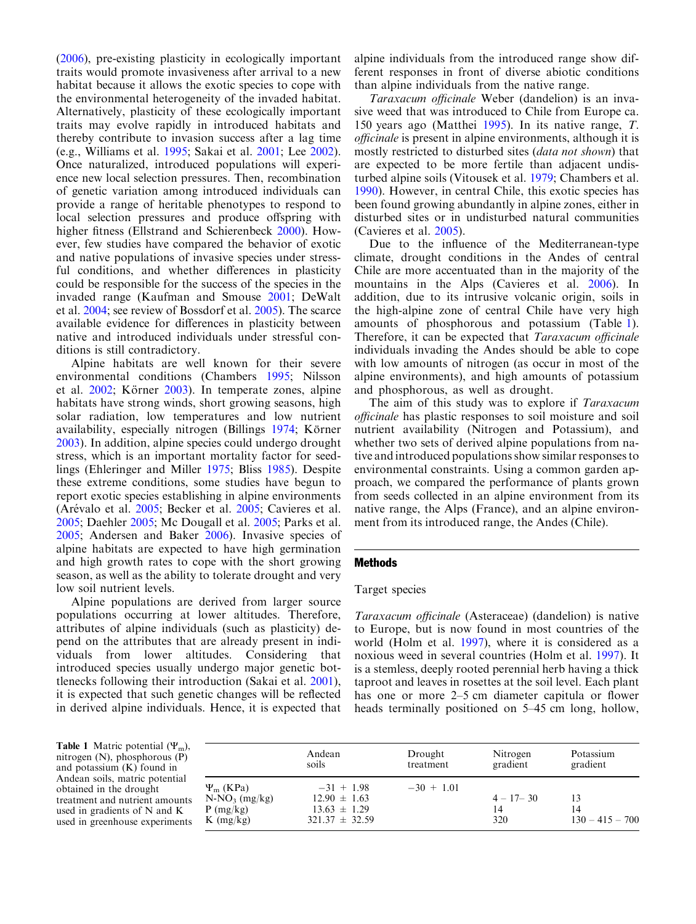<span id="page-1-0"></span>([2006\)](#page-7-0), pre-existing plasticity in ecologically important traits would promote invasiveness after arrival to a new habitat because it allows the exotic species to cope with the environmental heterogeneity of the invaded habitat. Alternatively, plasticity of these ecologically important traits may evolve rapidly in introduced habitats and thereby contribute to invasion success after a lag time (e.g., Williams et al. [1995](#page-8-0); Sakai et al. [2001](#page-8-0); Lee [2002\)](#page-7-0). Once naturalized, introduced populations will experience new local selection pressures. Then, recombination of genetic variation among introduced individuals can provide a range of heritable phenotypes to respond to local selection pressures and produce offspring with higher fitness (Ellstrand and Schierenbeck [2000](#page-7-0)). However, few studies have compared the behavior of exotic and native populations of invasive species under stressful conditions, and whether differences in plasticity could be responsible for the success of the species in the invaded range (Kaufman and Smouse [2001;](#page-7-0) DeWalt et al. [2004;](#page-7-0) see review of Bossdorf et al. [2005](#page-7-0)). The scarce available evidence for differences in plasticity between native and introduced individuals under stressful conditions is still contradictory.

Alpine habitats are well known for their severe environmental conditions (Chambers [1995](#page-7-0); Nilsson et al. [2002;](#page-7-0) Körner [2003](#page-7-0)). In temperate zones, alpine habitats have strong winds, short growing seasons, high solar radiation, low temperatures and low nutrient availability, especially nitrogen (Billings [1974](#page-7-0); Körner [2003](#page-7-0)). In addition, alpine species could undergo drought stress, which is an important mortality factor for seedlings (Ehleringer and Miller [1975](#page-7-0); Bliss [1985\)](#page-7-0). Despite these extreme conditions, some studies have begun to report exotic species establishing in alpine environments (Arévalo et al. [2005](#page-7-0); Becker et al. [2005;](#page-7-0) Cavieres et al. [2005](#page-7-0); Daehler [2005;](#page-7-0) Mc Dougall et al. [2005](#page-7-0); Parks et al. [2005](#page-7-0); Andersen and Baker [2006\)](#page-7-0). Invasive species of alpine habitats are expected to have high germination and high growth rates to cope with the short growing season, as well as the ability to tolerate drought and very low soil nutrient levels.

Alpine populations are derived from larger source populations occurring at lower altitudes. Therefore, attributes of alpine individuals (such as plasticity) depend on the attributes that are already present in individuals from lower altitudes. Considering that introduced species usually undergo major genetic bottlenecks following their introduction (Sakai et al. [2001\)](#page-8-0), it is expected that such genetic changes will be reflected in derived alpine individuals. Hence, it is expected that

alpine individuals from the introduced range show different responses in front of diverse abiotic conditions than alpine individuals from the native range.

Taraxacum officinale Weber (dandelion) is an invasive weed that was introduced to Chile from Europe ca. 150 years ago (Matthei [1995\)](#page-7-0). In its native range, T. officinale is present in alpine environments, although it is mostly restricted to disturbed sites (data not shown) that are expected to be more fertile than adjacent undisturbed alpine soils (Vitousek et al. [1979;](#page-8-0) Chambers et al. [1990\)](#page-7-0). However, in central Chile, this exotic species has been found growing abundantly in alpine zones, either in disturbed sites or in undisturbed natural communities (Cavieres et al. [2005](#page-7-0)).

Due to the influence of the Mediterranean-type climate, drought conditions in the Andes of central Chile are more accentuated than in the majority of the mountains in the Alps (Cavieres et al. [2006\)](#page-7-0). In addition, due to its intrusive volcanic origin, soils in the high-alpine zone of central Chile have very high amounts of phosphorous and potassium (Table 1). Therefore, it can be expected that Taraxacum officinale individuals invading the Andes should be able to cope with low amounts of nitrogen (as occur in most of the alpine environments), and high amounts of potassium and phosphorous, as well as drought.

The aim of this study was to explore if *Taraxacum* officinale has plastic responses to soil moisture and soil nutrient availability (Nitrogen and Potassium), and whether two sets of derived alpine populations from native and introduced populations show similar responses to environmental constraints. Using a common garden approach, we compared the performance of plants grown from seeds collected in an alpine environment from its native range, the Alps (France), and an alpine environment from its introduced range, the Andes (Chile).

## Methods

#### Target species

Taraxacum officinale (Asteraceae) (dandelion) is native to Europe, but is now found in most countries of the world (Holm et al. [1997](#page-7-0)), where it is considered as a noxious weed in several countries (Holm et al. [1997](#page-7-0)). It is a stemless, deeply rooted perennial herb having a thick taproot and leaves in rosettes at the soil level. Each plant has one or more 2–5 cm diameter capitula or flower heads terminally positioned on 5–45 cm long, hollow,

**Table 1** Matric potential  $(\Psi_m)$ , nitrogen (N), phosphorous (P) and potassium (K) found in Andean soils, matric potential obtained in the drought treatment and nutrient amounts used in gradients of N and K used in greenhouse experiments

|                                                                     | Andean                                                                     | Drought      | Nitrogen                   | Potassium                     |
|---------------------------------------------------------------------|----------------------------------------------------------------------------|--------------|----------------------------|-------------------------------|
|                                                                     | soils                                                                      | treatment    | gradient                   | gradient                      |
| $\Psi_{\rm m}$ (KPa)<br>$N-NO_3$ (mg/kg)<br>P(mg/kg)<br>$K$ (mg/kg) | $-31 + 1.98$<br>$12.90 \pm 1.63$<br>$13.63 \pm 1.29$<br>$321.37 \pm 32.59$ | $-30 + 1.01$ | $4 - 17 - 30$<br>14<br>320 | 13<br>14<br>$130 - 415 - 700$ |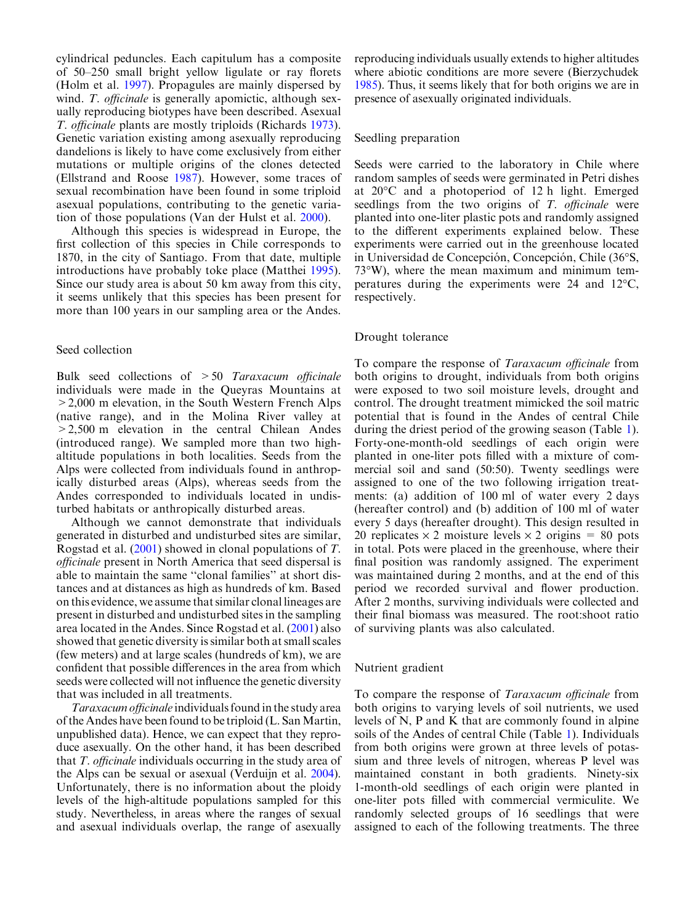cylindrical peduncles. Each capitulum has a composite of 50–250 small bright yellow ligulate or ray florets (Holm et al. [1997](#page-7-0)). Propagules are mainly dispersed by wind. T. *officinale* is generally apomictic, although sexually reproducing biotypes have been described. Asexual T. officinale plants are mostly triploids (Richards [1973\)](#page-7-0). Genetic variation existing among asexually reproducing dandelions is likely to have come exclusively from either mutations or multiple origins of the clones detected (Ellstrand and Roose [1987](#page-7-0)). However, some traces of sexual recombination have been found in some triploid asexual populations, contributing to the genetic variation of those populations (Van der Hulst et al. [2000](#page-8-0)).

Although this species is widespread in Europe, the first collection of this species in Chile corresponds to 1870, in the city of Santiago. From that date, multiple introductions have probably toke place (Matthei [1995\)](#page-7-0). Since our study area is about 50 km away from this city, it seems unlikely that this species has been present for more than 100 years in our sampling area or the Andes.

### Seed collection

Bulk seed collections of  $>50$  Taraxacum officinale individuals were made in the Queyras Mountains at >2,000 m elevation, in the South Western French Alps (native range), and in the Molina River valley at >2,500 m elevation in the central Chilean Andes (introduced range). We sampled more than two highaltitude populations in both localities. Seeds from the Alps were collected from individuals found in anthropically disturbed areas (Alps), whereas seeds from the Andes corresponded to individuals located in undisturbed habitats or anthropically disturbed areas.

Although we cannot demonstrate that individuals generated in disturbed and undisturbed sites are similar, Rogstad et al. ([2001](#page-8-0)) showed in clonal populations of T. officinale present in North America that seed dispersal is able to maintain the same ''clonal families'' at short distances and at distances as high as hundreds of km. Based on this evidence, we assume that similar clonal lineages are present in disturbed and undisturbed sites in the sampling area located in the Andes. Since Rogstad et al. ([2001](#page-8-0)) also showed that genetic diversity is similar both at small scales (few meters) and at large scales (hundreds of km), we are confident that possible differences in the area from which seeds were collected will not influence the genetic diversity that was included in all treatments.

Taraxacum officinale individuals found in the study area of the Andes have been found to be triploid (L. SanMartin, unpublished data). Hence, we can expect that they reproduce asexually. On the other hand, it has been described that T. officinale individuals occurring in the study area of the Alps can be sexual or asexual (Verduijn et al. [2004\)](#page-8-0). Unfortunately, there is no information about the ploidy levels of the high-altitude populations sampled for this study. Nevertheless, in areas where the ranges of sexual and asexual individuals overlap, the range of asexually

reproducing individuals usually extends to higher altitudes where abiotic conditions are more severe (Bierzychudek [1985](#page-7-0)). Thus, it seems likely that for both origins we are in presence of asexually originated individuals.

### Seedling preparation

Seeds were carried to the laboratory in Chile where random samples of seeds were germinated in Petri dishes at  $20^{\circ}$ C and a photoperiod of 12 h light. Emerged seedlings from the two origins of T. officinale were planted into one-liter plastic pots and randomly assigned to the different experiments explained below. These experiments were carried out in the greenhouse located in Universidad de Concepción, Concepción, Chile (36°S,  $73^{\circ}$ W), where the mean maximum and minimum temperatures during the experiments were 24 and  $12^{\circ}$ C, respectively.

#### Drought tolerance

To compare the response of Taraxacum officinale from both origins to drought, individuals from both origins were exposed to two soil moisture levels, drought and control. The drought treatment mimicked the soil matric potential that is found in the Andes of central Chile during the driest period of the growing season (Table [1\)](#page-1-0). Forty-one-month-old seedlings of each origin were planted in one-liter pots filled with a mixture of commercial soil and sand (50:50). Twenty seedlings were assigned to one of the two following irrigation treatments: (a) addition of 100 ml of water every 2 days (hereafter control) and (b) addition of 100 ml of water every 5 days (hereafter drought). This design resulted in 20 replicates  $\times$  2 moisture levels  $\times$  2 origins = 80 pots in total. Pots were placed in the greenhouse, where their final position was randomly assigned. The experiment was maintained during 2 months, and at the end of this period we recorded survival and flower production. After 2 months, surviving individuals were collected and their final biomass was measured. The root:shoot ratio of surviving plants was also calculated.

### Nutrient gradient

To compare the response of Taraxacum officinale from both origins to varying levels of soil nutrients, we used levels of N, P and K that are commonly found in alpine soils of the Andes of central Chile (Table [1\)](#page-1-0). Individuals from both origins were grown at three levels of potassium and three levels of nitrogen, whereas P level was maintained constant in both gradients. Ninety-six 1-month-old seedlings of each origin were planted in one-liter pots filled with commercial vermiculite. We randomly selected groups of 16 seedlings that were assigned to each of the following treatments. The three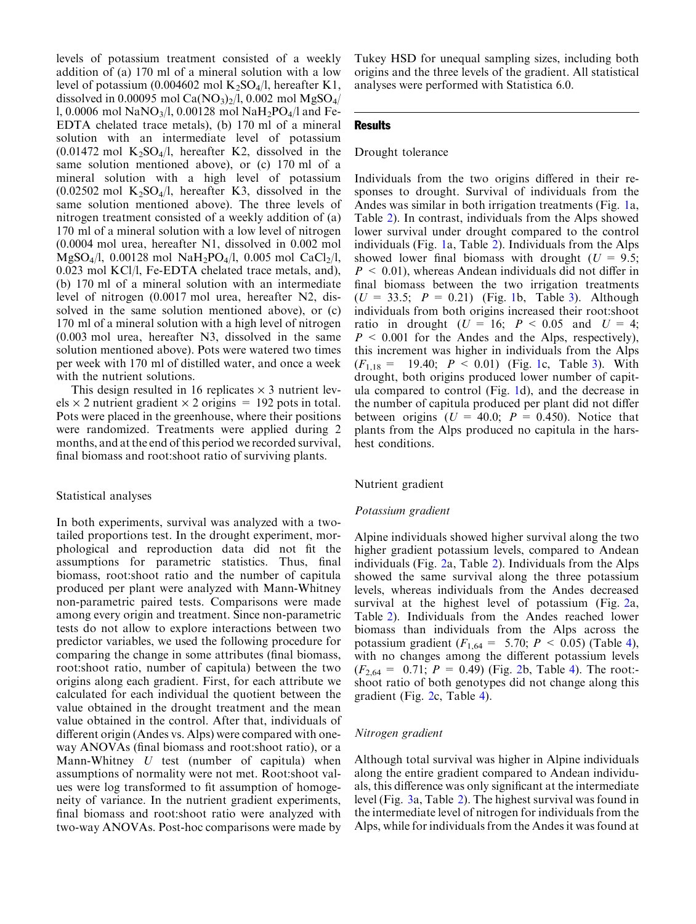levels of potassium treatment consisted of a weekly addition of (a) 170 ml of a mineral solution with a low level of potassium (0.004602 mol  $K_2SO_4/l$ , hereafter K1, dissolved in 0.00095 mol Ca( $NO<sub>3</sub>$ )<sub>2</sub>/l, 0.002 mol MgSO<sub>4</sub>/ l, 0.0006 mol NaNO<sub>3</sub>/l, 0.00128 mol NaH<sub>2</sub>PO<sub>4</sub>/l and Fe-EDTA chelated trace metals), (b) 170 ml of a mineral solution with an intermediate level of potassium  $(0.01472 \text{ mol } K_2\text{SO}_4/l, \text{ hereafter } K2, \text{ dissolved in the }$ same solution mentioned above), or (c) 170 ml of a mineral solution with a high level of potassium  $(0.02502 \text{ mol } K_2\text{SO}_4/l, \text{ hereafter } K3, \text{ dissolved in the }$ same solution mentioned above). The three levels of nitrogen treatment consisted of a weekly addition of (a) 170 ml of a mineral solution with a low level of nitrogen (0.0004 mol urea, hereafter N1, dissolved in 0.002 mol  $MgSO_4/1, 0.00128 \text{ mol } NaH_2PO_4/1, 0.005 \text{ mol } CaCl_2/1,$ 0.023 mol KCl/l, Fe-EDTA chelated trace metals, and), (b) 170 ml of a mineral solution with an intermediate level of nitrogen (0.0017 mol urea, hereafter N2, dissolved in the same solution mentioned above), or (c) 170 ml of a mineral solution with a high level of nitrogen (0.003 mol urea, hereafter N3, dissolved in the same solution mentioned above). Pots were watered two times per week with 170 ml of distilled water, and once a week with the nutrient solutions.

This design resulted in 16 replicates  $\times$  3 nutrient levels  $\times$  2 nutrient gradient  $\times$  2 origins = 192 pots in total. Pots were placed in the greenhouse, where their positions were randomized. Treatments were applied during 2 months, and at the end of this period we recorded survival, final biomass and root:shoot ratio of surviving plants.

#### Statistical analyses

In both experiments, survival was analyzed with a twotailed proportions test. In the drought experiment, morphological and reproduction data did not fit the assumptions for parametric statistics. Thus, final biomass, root:shoot ratio and the number of capitula produced per plant were analyzed with Mann-Whitney non-parametric paired tests. Comparisons were made among every origin and treatment. Since non-parametric tests do not allow to explore interactions between two predictor variables, we used the following procedure for comparing the change in some attributes (final biomass, root:shoot ratio, number of capitula) between the two origins along each gradient. First, for each attribute we calculated for each individual the quotient between the value obtained in the drought treatment and the mean value obtained in the control. After that, individuals of different origin (Andes vs. Alps) were compared with oneway ANOVAs (final biomass and root:shoot ratio), or a Mann-Whitney  $U$  test (number of capitula) when assumptions of normality were not met. Root:shoot values were log transformed to fit assumption of homogeneity of variance. In the nutrient gradient experiments, final biomass and root:shoot ratio were analyzed with two-way ANOVAs. Post-hoc comparisons were made by Tukey HSD for unequal sampling sizes, including both origins and the three levels of the gradient. All statistical analyses were performed with Statistica 6.0.

## **Results**

# Drought tolerance

Individuals from the two origins differed in their responses to drought. Survival of individuals from the Andes was similar in both irrigation treatments (Fig. [1](#page-4-0)a, Table [2](#page-5-0)). In contrast, individuals from the Alps showed lower survival under drought compared to the control individuals (Fig. [1a](#page-4-0), Table [2](#page-5-0)). Individuals from the Alps showed lower final biomass with drought ( $U = 9.5$ ;  $P < 0.01$ ), whereas Andean individuals did not differ in final biomass between the two irrigation treatments  $(U = 33.5; P = 0.21)$  $(U = 33.5; P = 0.21)$  $(U = 33.5; P = 0.21)$  (Fig. 1b, Table [3\)](#page-5-0). Although individuals from both origins increased their root:shoot ratio in drought  $(U = 16; P < 0.05$  and  $U = 4;$  $P \leq 0.001$  for the Andes and the Alps, respectively), this increment was higher in individuals from the Alps  $(F_{1,18} = 19.40; P < 0.01)$  (Fig. [1c](#page-4-0), Table [3\)](#page-5-0). With drought, both origins produced lower number of capitula compared to control (Fig. [1](#page-4-0)d), and the decrease in the number of capitula produced per plant did not differ between origins ( $U = 40.0$ ;  $P = 0.450$ ). Notice that plants from the Alps produced no capitula in the harshest conditions.

#### Nutrient gradient

#### Potassium gradient

Alpine individuals showed higher survival along the two higher gradient potassium levels, compared to Andean individuals (Fig. [2a](#page-6-0), Table [2](#page-5-0)). Individuals from the Alps showed the same survival along the three potassium levels, whereas individuals from the Andes decreased survival at the highest level of potassium (Fig. [2](#page-6-0)a, Table [2](#page-5-0)). Individuals from the Andes reached lower biomass than individuals from the Alps across the potassium gradient ( $F_{1,64} = 5.70; P < 0.05$ ) (Table [4\)](#page-6-0), with no changes among the different potassium levels  $(F_{2,64} = 0.71; P = 0.49)$  $(F_{2,64} = 0.71; P = 0.49)$  $(F_{2,64} = 0.71; P = 0.49)$  $(F_{2,64} = 0.71; P = 0.49)$  $(F_{2,64} = 0.71; P = 0.49)$  (Fig. 2b, Table 4). The root:shoot ratio of both genotypes did not change along this gradient (Fig. [2c](#page-6-0), Table [4](#page-6-0)).

#### Nitrogen gradient

Although total survival was higher in Alpine individuals along the entire gradient compared to Andean individuals, this difference was only significant at the intermediate level (Fig. [3a](#page-6-0), Table [2\)](#page-5-0). The highest survival was found in the intermediate level of nitrogen for individuals from the Alps, while for individuals from the Andes it was found at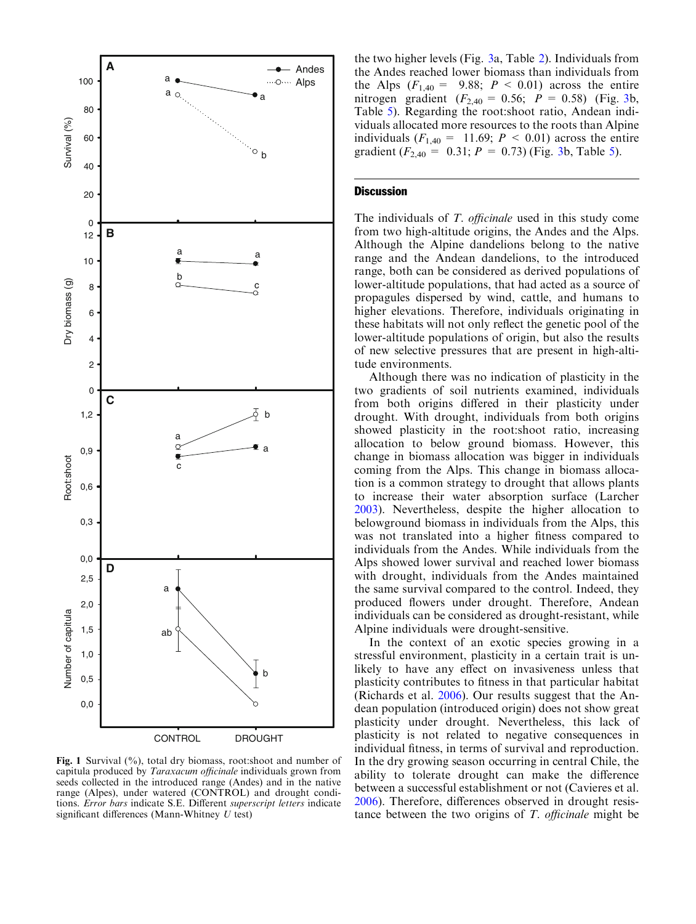<span id="page-4-0"></span>

Fig. 1 Survival  $(\%)$ , total dry biomass, root: shoot and number of capitula produced by Taraxacum officinale individuals grown from seeds collected in the introduced range (Andes) and in the native range (Alpes), under watered (CONTROL) and drought conditions. Error bars indicate S.E. Different superscript letters indicate significant differences (Mann-Whitney  $U$  test)

the two higher levels (Fig. [3a](#page-6-0), Table [2](#page-5-0)). Individuals from the Andes reached lower biomass than individuals from the Alps  $(F_{1,40} = 9.88; P < 0.01)$  across the entire nitrogen gradient ( $F_{2,40} = 0.56$ ;  $P = 0.58$ ) (Fig. [3b](#page-6-0), Table [5](#page-7-0)). Regarding the root:shoot ratio, Andean individuals allocated more resources to the roots than Alpine individuals  $(F_{1,40} = 11.69; P \le 0.01)$  across the entire gradient ( $F_{2,40} = 0.31$  $F_{2,40} = 0.31$  $F_{2,40} = 0.31$ ;  $P = 0.73$ ) (Fig. 3b, Table [5](#page-7-0)).

# **Discussion**

The individuals of T. *officinale* used in this study come from two high-altitude origins, the Andes and the Alps. Although the Alpine dandelions belong to the native range and the Andean dandelions, to the introduced range, both can be considered as derived populations of lower-altitude populations, that had acted as a source of propagules dispersed by wind, cattle, and humans to higher elevations. Therefore, individuals originating in these habitats will not only reflect the genetic pool of the lower-altitude populations of origin, but also the results of new selective pressures that are present in high-altitude environments.

Although there was no indication of plasticity in the two gradients of soil nutrients examined, individuals from both origins differed in their plasticity under drought. With drought, individuals from both origins showed plasticity in the root:shoot ratio, increasing allocation to below ground biomass. However, this change in biomass allocation was bigger in individuals coming from the Alps. This change in biomass allocation is a common strategy to drought that allows plants to increase their water absorption surface (Larcher [2003\)](#page-7-0). Nevertheless, despite the higher allocation to belowground biomass in individuals from the Alps, this was not translated into a higher fitness compared to individuals from the Andes. While individuals from the Alps showed lower survival and reached lower biomass with drought, individuals from the Andes maintained the same survival compared to the control. Indeed, they produced flowers under drought. Therefore, Andean individuals can be considered as drought-resistant, while Alpine individuals were drought-sensitive.

In the context of an exotic species growing in a stressful environment, plasticity in a certain trait is unlikely to have any effect on invasiveness unless that plasticity contributes to fitness in that particular habitat (Richards et al. [2006](#page-7-0)). Our results suggest that the Andean population (introduced origin) does not show great plasticity under drought. Nevertheless, this lack of plasticity is not related to negative consequences in individual fitness, in terms of survival and reproduction. In the dry growing season occurring in central Chile, the ability to tolerate drought can make the difference between a successful establishment or not (Cavieres et al. [2006\)](#page-7-0). Therefore, differences observed in drought resistance between the two origins of  $T$ . *officinale* might be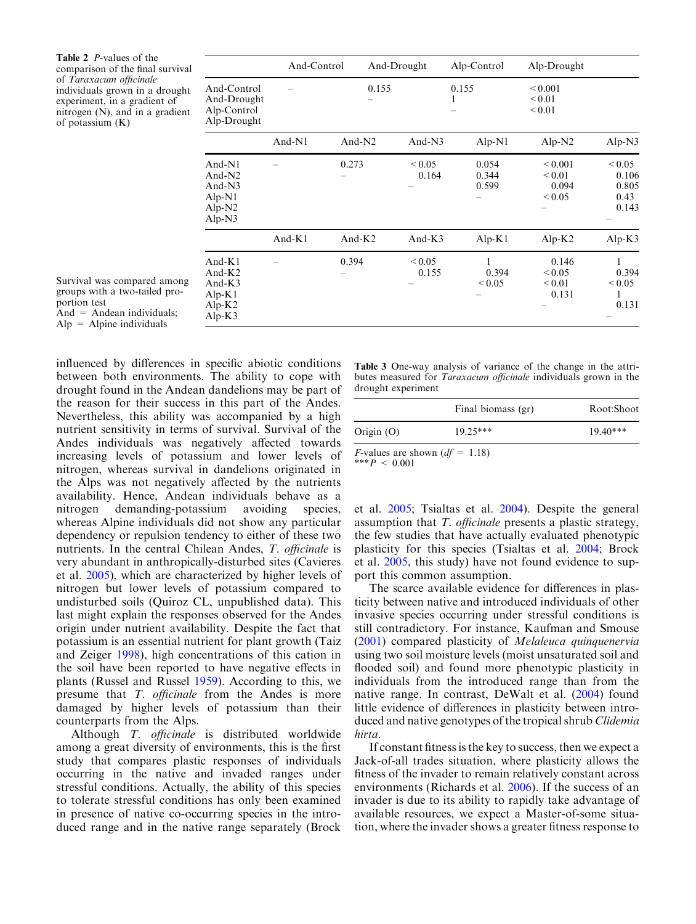<span id="page-5-0"></span>Table 2 P-values of the comparison of the final survival of Taraxacum officinale individuals grown in a drought experiment, in a gradient of nitrogen (N), and in a gradient of potassium (K)

|                                                                           | And-Control |           | And-Drought          | Alp-Control             | Alp-Drought                                         |                                                |
|---------------------------------------------------------------------------|-------------|-----------|----------------------|-------------------------|-----------------------------------------------------|------------------------------------------------|
| And-Control<br>And-Drought<br>Alp-Control<br>Alp-Drought                  |             |           | 0.155                | 0.155<br>1              | ${}_{0.001}$<br>${}_{0.01}$<br>${}_{0.01}$          |                                                |
|                                                                           | And-N1      | And- $N2$ | And-N3               | $Alp-N1$                | Alp- $N2$                                           | $Alp-N3$                                       |
| And- $N1$<br>And- $N2$<br>And- $N3$<br>$Alp-N1$<br>$Alp-N2$<br>Alp- $N3$  |             | 0.273     | ${}_{0.05}$<br>0.164 | 0.054<br>0.344<br>0.599 | ${}_{0.001}$<br>${}_{0.01}$<br>0.094<br>${}_{0.05}$ | ${}_{0.05}$<br>0.106<br>0.805<br>0.43<br>0.143 |
|                                                                           | And- $K1$   | And- $K2$ | And- $K3$            | $Alp-K1$                | Alp- $K2$                                           | Alp- $K3$                                      |
| And- $K1$<br>And- $K2$<br>And- $K3$<br>$Alp-K1$<br>Alp- $K2$<br>Alp- $K3$ |             | 0.394     | ${}_{0.05}$<br>0.155 | 0.394<br>${}_{0.05}$    | 0.146<br>${}_{0.05}$<br>${}_{0.01}$<br>0.131        | 0.394<br>${}_{0.05}$<br>1<br>0.131             |

Survival was compared among groups with a two-tailed proportion test And  $=$  Andean individuals;  $Alp = Alpine$  individuals

influenced by differences in specific abiotic conditions between both environments. The ability to cope with drought found in the Andean dandelions may be part of the reason for their success in this part of the Andes. Nevertheless, this ability was accompanied by a high nutrient sensitivity in terms of survival. Survival of the Andes individuals was negatively affected towards increasing levels of potassium and lower levels of nitrogen, whereas survival in dandelions originated in the Alps was not negatively affected by the nutrients availability. Hence, Andean individuals behave as a nitrogen demanding-potassium avoiding species, whereas Alpine individuals did not show any particular dependency or repulsion tendency to either of these two nutrients. In the central Chilean Andes, T. officinale is very abundant in anthropically-disturbed sites (Cavieres et al. [2005\)](#page-7-0), which are characterized by higher levels of nitrogen but lower levels of potassium compared to undisturbed soils (Quiroz CL, unpublished data). This last might explain the responses observed for the Andes origin under nutrient availability. Despite the fact that potassium is an essential nutrient for plant growth (Taiz and Zeiger [1998\)](#page-8-0), high concentrations of this cation in the soil have been reported to have negative effects in plants (Russel and Russel [1959](#page-8-0)). According to this, we presume that T. officinale from the Andes is more damaged by higher levels of potassium than their counterparts from the Alps.

Although T. officinale is distributed worldwide among a great diversity of environments, this is the first study that compares plastic responses of individuals occurring in the native and invaded ranges under stressful conditions. Actually, the ability of this species to tolerate stressful conditions has only been examined in presence of native co-occurring species in the introduced range and in the native range separately (Brock

Table 3 One-way analysis of variance of the change in the attributes measured for Taraxacum officinale individuals grown in the drought experiment

|                                          | Final biomass (gr) | Root:Shoot |
|------------------------------------------|--------------------|------------|
| Origin $(O)$                             | $19.25***$         | $19.40***$ |
| <i>F</i> -values are shown $(df = 1.18)$ |                    |            |

\*\*\* $P \leq 0.001$ 

et al. [2005](#page-7-0); Tsialtas et al. [2004\)](#page-8-0). Despite the general assumption that T. officinale presents a plastic strategy, the few studies that have actually evaluated phenotypic plasticity for this species (Tsialtas et al. [2004;](#page-8-0) Brock et al. [2005](#page-7-0), this study) have not found evidence to support this common assumption.

The scarce available evidence for differences in plasticity between native and introduced individuals of other invasive species occurring under stressful conditions is still contradictory. For instance, Kaufman and Smouse ([2001](#page-7-0)) compared plasticity of Melaleuca quinquenervia using two soil moisture levels (moist unsaturated soil and flooded soil) and found more phenotypic plasticity in individuals from the introduced range than from the native range. In contrast, DeWalt et al. ([2004](#page-7-0)) found little evidence of differences in plasticity between introduced and native genotypes of the tropical shrub Clidemia hirta.

If constant fitness is the key to success, then we expect a Jack-of-all trades situation, where plasticity allows the fitness of the invader to remain relatively constant across environments (Richards et al. [2006](#page-7-0)). If the success of an invader is due to its ability to rapidly take advantage of available resources, we expect a Master-of-some situation, where the invader shows a greater fitness response to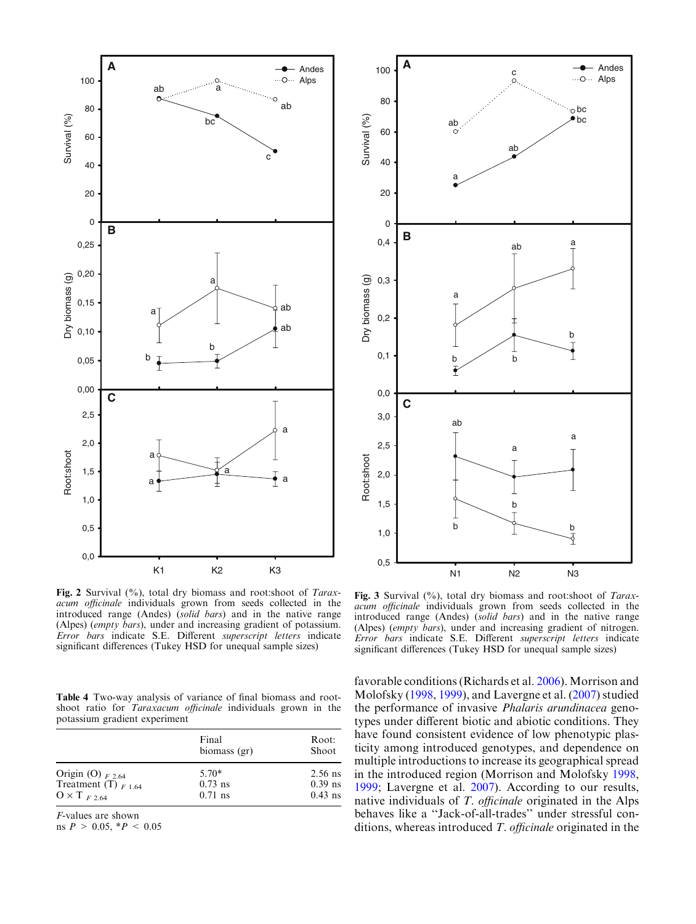<span id="page-6-0"></span>



Fig. 2 Survival (%), total dry biomass and root:shoot of Taraxacum officinale individuals grown from seeds collected in the introduced range (Andes) (solid bars) and in the native range (Alpes) (empty bars), under and increasing gradient of potassium. Error bars indicate S.E. Different superscript letters indicate significant differences (Tukey HSD for unequal sample sizes)

Table 4 Two-way analysis of variance of final biomass and rootshoot ratio for Taraxacum officinale individuals grown in the potassium gradient experiment

|                                                   | Final<br>biomass (gr) | Root:<br>Shoot         |
|---------------------------------------------------|-----------------------|------------------------|
| Origin (O) $_{F2.64}$<br>Treatment (T) $_{F1.64}$ | $5.70*$<br>$0.73$ ns  | $2.56$ ns<br>$0.39$ ns |
| $0 \times T_{F,2.64}$                             | $0.71$ ns             | $0.43$ ns              |

F-values are shown

ns  $P > 0.05, *P < 0.05$ 

Fig. 3 Survival (%), total dry biomass and root:shoot of Taraxacum officinale individuals grown from seeds collected in the introduced range (Andes) (solid bars) and in the native range (Alpes) (empty bars), under and increasing gradient of nitrogen. Error bars indicate S.E. Different superscript letters indicate significant differences (Tukey HSD for unequal sample sizes)

favorable conditions (Richards et al. [2006\)](#page-7-0). Morrison and Molofsky ([1998,](#page-7-0) [1999\)](#page-7-0), and Lavergne et al. [\(2007](#page-7-0)) studied the performance of invasive Phalaris arundinacea genotypes under different biotic and abiotic conditions. They have found consistent evidence of low phenotypic plasticity among introduced genotypes, and dependence on multiple introductions to increase its geographical spread in the introduced region (Morrison and Molofsky [1998](#page-7-0), [1999;](#page-7-0) Lavergne et al. [2007](#page-7-0)). According to our results, native individuals of T. officinale originated in the Alps behaves like a ''Jack-of-all-trades'' under stressful conditions, whereas introduced T. officinale originated in the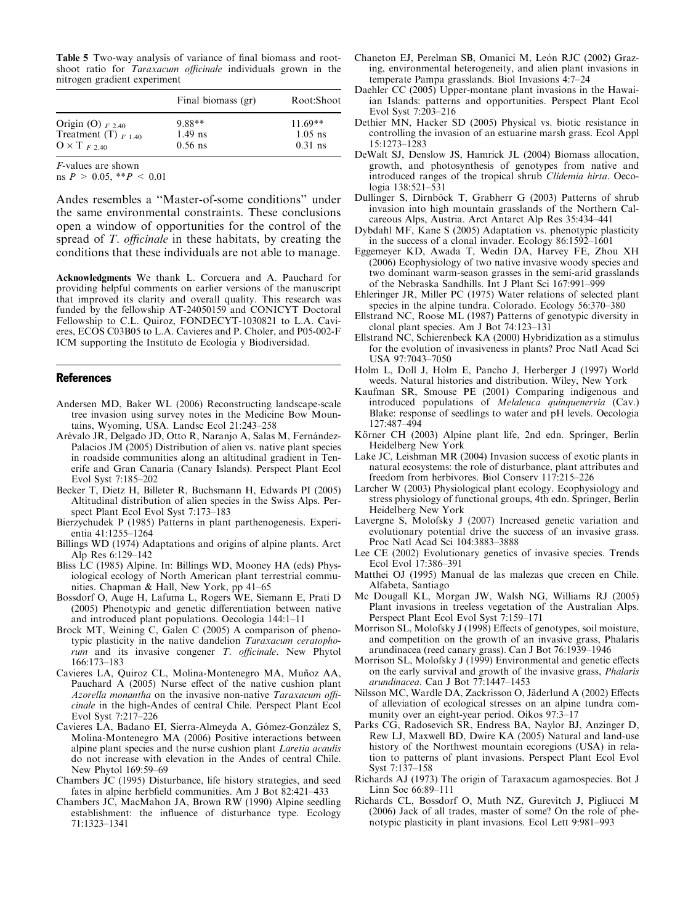<span id="page-7-0"></span>Table 5 Two-way analysis of variance of final biomass and rootshoot ratio for Taraxacum officinale individuals grown in the nitrogen gradient experiment

|                          | Final biomass (gr) | Root:Shoot |  |
|--------------------------|--------------------|------------|--|
| Origin (O) $_{F2,40}$    | $9.88**$           | $11.69**$  |  |
| Treatment (T) $_{F1.40}$ | $1.49$ ns          | $1.05$ ns  |  |
| $0 \times T_{F,240}$     | $0.56$ ns          | $0.31$ ns  |  |

F-values are shown

ns  $P > 0.05$ , \*\* $P < 0.01$ 

Andes resembles a ''Master-of-some conditions'' under the same environmental constraints. These conclusions open a window of opportunities for the control of the spread of T. *officinale* in these habitats, by creating the conditions that these individuals are not able to manage.

Acknowledgments We thank L. Corcuera and A. Pauchard for providing helpful comments on earlier versions of the manuscript that improved its clarity and overall quality. This research was funded by the fellowship AT-24050159 and CONICYT Doctoral Fellowship to C.L. Quiroz, FONDECYT-1030821 to L.A. Cavieres, ECOS C03B05 to L.A. Cavieres and P. Choler, and P05-002-F ICM supporting the Instituto de Ecología y Biodiversidad.

## References

- Andersen MD, Baker WL (2006) Reconstructing landscape-scale tree invasion using survey notes in the Medicine Bow Mountains, Wyoming, USA. Landsc Ecol 21:243–258
- Arévalo JR, Delgado JD, Otto R, Naranjo A, Salas M, Fernández-Palacios JM (2005) Distribution of alien vs. native plant species in roadside communities along an altitudinal gradient in Tenerife and Gran Canaria (Canary Islands). Perspect Plant Ecol Evol Syst 7:185–202
- Becker T, Dietz H, Billeter R, Buchsmann H, Edwards PI (2005) Altitudinal distribution of alien species in the Swiss Alps. Perspect Plant Ecol Evol Syst 7:173–183
- Bierzychudek P (1985) Patterns in plant parthenogenesis. Experientia 41:1255–1264
- Billings WD (1974) Adaptations and origins of alpine plants. Arct Alp Res 6:129–142
- Bliss LC (1985) Alpine. In: Billings WD, Mooney HA (eds) Physiological ecology of North American plant terrestrial communities. Chapman & Hall, New York, pp 41–65
- Bossdorf O, Auge H, Lafuma L, Rogers WE, Siemann E, Prati D (2005) Phenotypic and genetic differentiation between native and introduced plant populations. Oecologia 144:1–11
- Brock MT, Weining C, Galen C (2005) A comparison of phenotypic plasticity in the native dandelion Taraxacum ceratophorum and its invasive congener T. officinale. New Phytol 166:173–183
- Cavieres LA, Quiroz CL, Molina-Montenegro MA, Muñoz AA, Pauchard A (2005) Nurse effect of the native cushion plant Azorella monantha on the invasive non-native Taraxacum officinale in the high-Andes of central Chile. Perspect Plant Ecol Evol Syst 7:217–226
- Cavieres LA, Badano EI, Sierra-Almeyda A, Gómez-González S, Molina-Montenegro MA (2006) Positive interactions between alpine plant species and the nurse cushion plant Laretia acaulis do not increase with elevation in the Andes of central Chile. New Phytol 169:59–69
- Chambers JC (1995) Disturbance, life history strategies, and seed fates in alpine herbfield communities. Am J Bot 82:421–433
- Chambers JC, MacMahon JA, Brown RW (1990) Alpine seedling establishment: the influence of disturbance type. Ecology 71:1323–1341
- Chaneton EJ, Perelman SB, Omanici M, León RJC (2002) Grazing, environmental heterogeneity, and alien plant invasions in temperate Pampa grasslands. Biol Invasions 4:7–24
- Daehler CC (2005) Upper-montane plant invasions in the Hawaiian Islands: patterns and opportunities. Perspect Plant Ecol Evol Syst 7:203–216
- Dethier MN, Hacker SD (2005) Physical vs. biotic resistance in controlling the invasion of an estuarine marsh grass. Ecol Appl 15:1273–1283
- DeWalt SJ, Denslow JS, Hamrick JL (2004) Biomass allocation, growth, and photosynthesis of genotypes from native and introduced ranges of the tropical shrub Clidemia hirta. Oecologia 138:521–531
- Dullinger S, Dirnböck T, Grabherr G (2003) Patterns of shrub invasion into high mountain grasslands of the Northern Calcareous Alps, Austria. Arct Antarct Alp Res 35:434–441
- Dybdahl MF, Kane S (2005) Adaptation vs. phenotypic plasticity in the success of a clonal invader. Ecology 86:1592–1601
- Eggemeyer KD, Awada T, Wedin DA, Harvey FE, Zhou XH (2006) Ecophysiology of two native invasive woody species and two dominant warm-season grasses in the semi-arid grasslands of the Nebraska Sandhills. Int J Plant Sci 167:991–999
- Ehleringer JR, Miller PC (1975) Water relations of selected plant species in the alpine tundra. Colorado. Ecology 56:370–380
- Ellstrand NC, Roose ML (1987) Patterns of genotypic diversity in clonal plant species. Am J Bot 74:123–131
- Ellstrand NC, Schierenbeck KA (2000) Hybridization as a stimulus for the evolution of invasiveness in plants? Proc Natl Acad Sci USA 97:7043–7050
- Holm L, Doll J, Holm E, Pancho J, Herberger J (1997) World weeds. Natural histories and distribution. Wiley, New York
- Kaufman SR, Smouse PE (2001) Comparing indigenous and introduced populations of Melaleuca quinquenervia (Cav.) Blake: response of seedlings to water and pH levels. Oecologia 127:487–494
- Körner CH (2003) Alpine plant life, 2nd edn. Springer, Berlin Heidelberg New York
- Lake JC, Leishman MR (2004) Invasion success of exotic plants in natural ecosystems: the role of disturbance, plant attributes and freedom from herbivores. Biol Conserv 117:215–226
- Larcher W (2003) Physiological plant ecology. Ecophysiology and stress physiology of functional groups, 4th edn. Springer, Berlin Heidelberg New York
- Lavergne S, Molofsky J (2007) Increased genetic variation and evolutionary potential drive the success of an invasive grass. Proc Natl Acad Sci 104:3883–3888
- Lee CE (2002) Evolutionary genetics of invasive species. Trends Ecol Evol 17:386–391
- Matthei OJ (1995) Manual de las malezas que crecen en Chile. Alfabeta, Santiago
- Mc Dougall KL, Morgan JW, Walsh NG, Williams RJ (2005) Plant invasions in treeless vegetation of the Australian Alps. Perspect Plant Ecol Evol Syst 7:159–171
- Morrison SL, Molofsky J (1998) Effects of genotypes, soil moisture, and competition on the growth of an invasive grass, Phalaris arundinacea (reed canary grass). Can J Bot 76:1939–1946
- Morrison SL, Molofsky J (1999) Environmental and genetic effects on the early survival and growth of the invasive grass, Phalaris arundinacea. Can J Bot 77:1447–1453
- Nilsson MC, Wardle DA, Zackrisson O, Jäderlund A (2002) Effects of alleviation of ecological stresses on an alpine tundra community over an eight-year period. Oikos 97:3–17
- Parks CG, Radosevich SR, Endress BA, Naylor BJ, Anzinger D, Rew LJ, Maxwell BD, Dwire KA (2005) Natural and land-use history of the Northwest mountain ecoregions (USA) in relation to patterns of plant invasions. Perspect Plant Ecol Evol Syst 7:137–158
- Richards AJ (1973) The origin of Taraxacum agamospecies. Bot J Linn Soc 66:89–111
- Richards CL, Bossdorf O, Muth NZ, Gurevitch J, Pigliucci M (2006) Jack of all trades, master of some? On the role of phenotypic plasticity in plant invasions. Ecol Lett 9:981–993